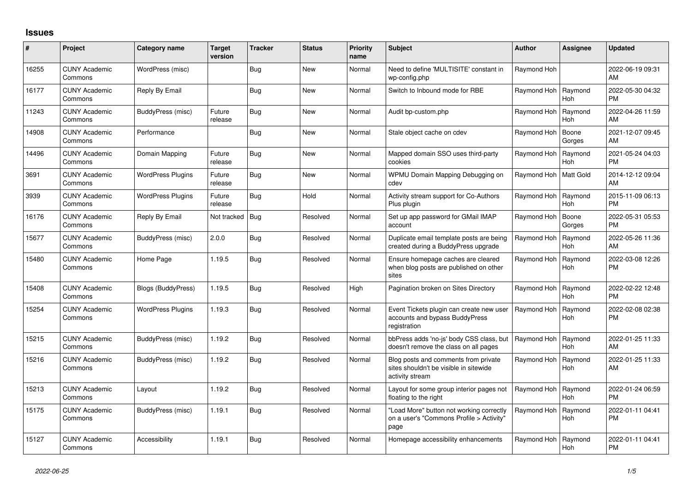## **Issues**

| #     | Project                         | Category name             | Target<br>version | <b>Tracker</b> | <b>Status</b> | <b>Priority</b><br>name | <b>Subject</b>                                                                                    | <b>Author</b>           | Assignee              | <b>Updated</b>                |
|-------|---------------------------------|---------------------------|-------------------|----------------|---------------|-------------------------|---------------------------------------------------------------------------------------------------|-------------------------|-----------------------|-------------------------------|
| 16255 | <b>CUNY Academic</b><br>Commons | WordPress (misc)          |                   | <b>Bug</b>     | <b>New</b>    | Normal                  | Need to define 'MULTISITE' constant in<br>wp-config.php                                           | Raymond Hoh             |                       | 2022-06-19 09:31<br>AM        |
| 16177 | <b>CUNY Academic</b><br>Commons | Reply By Email            |                   | <b>Bug</b>     | <b>New</b>    | Normal                  | Switch to Inbound mode for RBE                                                                    | Raymond Hoh             | Raymond<br><b>Hoh</b> | 2022-05-30 04:32<br><b>PM</b> |
| 11243 | <b>CUNY Academic</b><br>Commons | BuddyPress (misc)         | Future<br>release | <b>Bug</b>     | <b>New</b>    | Normal                  | Audit bp-custom.php                                                                               | Raymond Hoh             | Raymond<br><b>Hoh</b> | 2022-04-26 11:59<br>AM        |
| 14908 | <b>CUNY Academic</b><br>Commons | Performance               |                   | <b>Bug</b>     | <b>New</b>    | Normal                  | Stale object cache on cdev                                                                        | Raymond Hoh             | Boone<br>Gorges       | 2021-12-07 09:45<br>AM        |
| 14496 | <b>CUNY Academic</b><br>Commons | Domain Mapping            | Future<br>release | Bug            | <b>New</b>    | Normal                  | Mapped domain SSO uses third-party<br>cookies                                                     | Raymond Hoh             | Raymond<br><b>Hoh</b> | 2021-05-24 04:03<br><b>PM</b> |
| 3691  | <b>CUNY Academic</b><br>Commons | <b>WordPress Plugins</b>  | Future<br>release | <b>Bug</b>     | <b>New</b>    | Normal                  | WPMU Domain Mapping Debugging on<br>cdev                                                          | Raymond Hoh   Matt Gold |                       | 2014-12-12 09:04<br>AM        |
| 3939  | <b>CUNY Academic</b><br>Commons | <b>WordPress Plugins</b>  | Future<br>release | Bug            | Hold          | Normal                  | Activity stream support for Co-Authors<br>Plus plugin                                             | Raymond Hoh             | Raymond<br><b>Hoh</b> | 2015-11-09 06:13<br><b>PM</b> |
| 16176 | <b>CUNY Academic</b><br>Commons | Reply By Email            | Not tracked   Bug |                | Resolved      | Normal                  | Set up app password for GMail IMAP<br>account                                                     | Raymond Hoh             | Boone<br>Gorges       | 2022-05-31 05:53<br><b>PM</b> |
| 15677 | <b>CUNY Academic</b><br>Commons | BuddyPress (misc)         | 2.0.0             | <b>Bug</b>     | Resolved      | Normal                  | Duplicate email template posts are being<br>created during a BuddyPress upgrade                   | Raymond Hoh             | Raymond<br><b>Hoh</b> | 2022-05-26 11:36<br>AM        |
| 15480 | <b>CUNY Academic</b><br>Commons | Home Page                 | 1.19.5            | <b>Bug</b>     | Resolved      | Normal                  | Ensure homepage caches are cleared<br>when blog posts are published on other<br>sites             | Raymond Hoh             | Raymond<br>Hoh        | 2022-03-08 12:26<br><b>PM</b> |
| 15408 | <b>CUNY Academic</b><br>Commons | <b>Blogs (BuddyPress)</b> | 1.19.5            | <b>Bug</b>     | Resolved      | High                    | Pagination broken on Sites Directory                                                              | Raymond Hoh             | Raymond<br><b>Hoh</b> | 2022-02-22 12:48<br><b>PM</b> |
| 15254 | <b>CUNY Academic</b><br>Commons | <b>WordPress Plugins</b>  | 1.19.3            | <b>Bug</b>     | Resolved      | Normal                  | Event Tickets plugin can create new user<br>accounts and bypass BuddyPress<br>registration        | Raymond Hoh             | Raymond<br>Hoh        | 2022-02-08 02:38<br><b>PM</b> |
| 15215 | <b>CUNY Academic</b><br>Commons | BuddyPress (misc)         | 1.19.2            | Bug            | Resolved      | Normal                  | bbPress adds 'no-js' body CSS class, but<br>doesn't remove the class on all pages                 | Raymond Hoh             | Raymond<br><b>Hoh</b> | 2022-01-25 11:33<br>AM        |
| 15216 | <b>CUNY Academic</b><br>Commons | BuddyPress (misc)         | 1.19.2            | <b>Bug</b>     | Resolved      | Normal                  | Blog posts and comments from private<br>sites shouldn't be visible in sitewide<br>activity stream | Raymond Hoh             | Raymond<br><b>Hoh</b> | 2022-01-25 11:33<br>AM        |
| 15213 | <b>CUNY Academic</b><br>Commons | Layout                    | 1.19.2            | Bug            | Resolved      | Normal                  | Layout for some group interior pages not<br>floating to the right                                 | Raymond Hoh             | Raymond<br>Hoh        | 2022-01-24 06:59<br><b>PM</b> |
| 15175 | <b>CUNY Academic</b><br>Commons | BuddyPress (misc)         | 1.19.1            | <b>Bug</b>     | Resolved      | Normal                  | "Load More" button not working correctly<br>on a user's "Commons Profile > Activity"<br>page      | Raymond Hoh             | Raymond<br>Hoh        | 2022-01-11 04:41<br><b>PM</b> |
| 15127 | <b>CUNY Academic</b><br>Commons | Accessibility             | 1.19.1            | Bug            | Resolved      | Normal                  | Homepage accessibility enhancements                                                               | Raymond Hoh             | Raymond<br>Hoh        | 2022-01-11 04:41<br><b>PM</b> |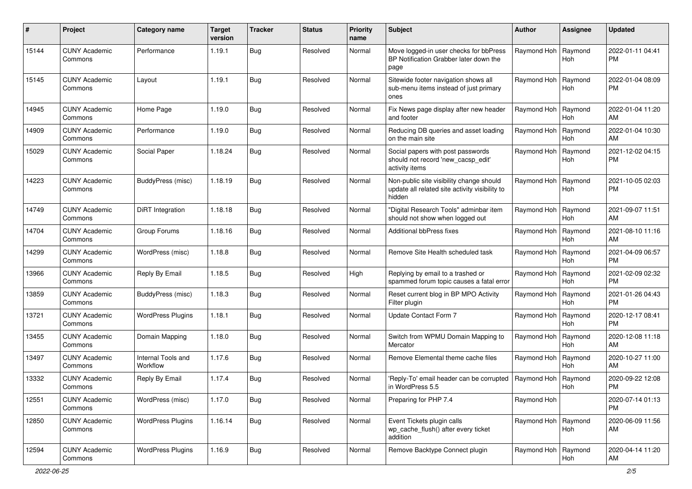| #     | Project                         | <b>Category name</b>           | <b>Target</b><br>version | <b>Tracker</b> | <b>Status</b> | <b>Priority</b><br>name | Subject                                                                                              | Author                | <b>Assignee</b>       | <b>Updated</b>                |
|-------|---------------------------------|--------------------------------|--------------------------|----------------|---------------|-------------------------|------------------------------------------------------------------------------------------------------|-----------------------|-----------------------|-------------------------------|
| 15144 | <b>CUNY Academic</b><br>Commons | Performance                    | 1.19.1                   | <b>Bug</b>     | Resolved      | Normal                  | Move logged-in user checks for bbPress<br>BP Notification Grabber later down the<br>page             | Raymond Hoh           | Raymond<br>Hoh        | 2022-01-11 04:41<br><b>PM</b> |
| 15145 | <b>CUNY Academic</b><br>Commons | Layout                         | 1.19.1                   | <b>Bug</b>     | Resolved      | Normal                  | Sitewide footer navigation shows all<br>sub-menu items instead of just primary<br>ones               | Raymond Hoh           | Raymond<br>Hoh        | 2022-01-04 08:09<br><b>PM</b> |
| 14945 | <b>CUNY Academic</b><br>Commons | Home Page                      | 1.19.0                   | <b>Bug</b>     | Resolved      | Normal                  | Fix News page display after new header<br>and footer                                                 | Raymond Hoh           | Raymond<br>Hoh        | 2022-01-04 11:20<br>AM        |
| 14909 | <b>CUNY Academic</b><br>Commons | Performance                    | 1.19.0                   | <b>Bug</b>     | Resolved      | Normal                  | Reducing DB queries and asset loading<br>on the main site                                            | Raymond Hoh           | Raymond<br><b>Hoh</b> | 2022-01-04 10:30<br>AM        |
| 15029 | <b>CUNY Academic</b><br>Commons | Social Paper                   | 1.18.24                  | <b>Bug</b>     | Resolved      | Normal                  | Social papers with post passwords<br>should not record 'new_cacsp_edit'<br>activity items            | Raymond Hoh           | Raymond<br>Hoh        | 2021-12-02 04:15<br><b>PM</b> |
| 14223 | <b>CUNY Academic</b><br>Commons | BuddyPress (misc)              | 1.18.19                  | <b>Bug</b>     | Resolved      | Normal                  | Non-public site visibility change should<br>update all related site activity visibility to<br>hidden | Raymond Hoh           | Raymond<br>Hoh        | 2021-10-05 02:03<br><b>PM</b> |
| 14749 | <b>CUNY Academic</b><br>Commons | <b>DiRT</b> Integration        | 1.18.18                  | <b>Bug</b>     | Resolved      | Normal                  | "Digital Research Tools" adminbar item<br>should not show when logged out                            | Raymond Hoh           | Raymond<br>Hoh        | 2021-09-07 11:51<br>AM        |
| 14704 | <b>CUNY Academic</b><br>Commons | Group Forums                   | 1.18.16                  | Bug            | Resolved      | Normal                  | <b>Additional bbPress fixes</b>                                                                      | Raymond Hoh           | Raymond<br>Hoh        | 2021-08-10 11:16<br>AM        |
| 14299 | <b>CUNY Academic</b><br>Commons | WordPress (misc)               | 1.18.8                   | <b>Bug</b>     | Resolved      | Normal                  | Remove Site Health scheduled task                                                                    | Raymond Hoh           | Raymond<br>Hoh        | 2021-04-09 06:57<br><b>PM</b> |
| 13966 | <b>CUNY Academic</b><br>Commons | Reply By Email                 | 1.18.5                   | <b>Bug</b>     | Resolved      | High                    | Replying by email to a trashed or<br>spammed forum topic causes a fatal error                        | Raymond Hoh           | Raymond<br>Hoh        | 2021-02-09 02:32<br><b>PM</b> |
| 13859 | <b>CUNY Academic</b><br>Commons | BuddyPress (misc)              | 1.18.3                   | <b>Bug</b>     | Resolved      | Normal                  | Reset current blog in BP MPO Activity<br>Filter plugin                                               | Raymond Hoh           | Raymond<br>Hoh        | 2021-01-26 04:43<br>РM        |
| 13721 | <b>CUNY Academic</b><br>Commons | <b>WordPress Plugins</b>       | 1.18.1                   | <b>Bug</b>     | Resolved      | Normal                  | Update Contact Form 7                                                                                | Raymond Hoh           | Raymond<br>Hoh        | 2020-12-17 08:41<br><b>PM</b> |
| 13455 | <b>CUNY Academic</b><br>Commons | Domain Mapping                 | 1.18.0                   | <b>Bug</b>     | Resolved      | Normal                  | Switch from WPMU Domain Mapping to<br>Mercator                                                       | Raymond Hoh           | Raymond<br><b>Hoh</b> | 2020-12-08 11:18<br>AM        |
| 13497 | <b>CUNY Academic</b><br>Commons | Internal Tools and<br>Workflow | 1.17.6                   | <b>Bug</b>     | Resolved      | Normal                  | Remove Elemental theme cache files                                                                   | Raymond Hoh           | Raymond<br>Hoh        | 2020-10-27 11:00<br>AM        |
| 13332 | <b>CUNY Academic</b><br>Commons | Reply By Email                 | 1.17.4                   | Bug            | Resolved      | Normal                  | 'Reply-To' email header can be corrupted<br>in WordPress 5.5                                         | Raymond Hoh           | Raymond<br>Hoh        | 2020-09-22 12:08<br>PM        |
| 12551 | <b>CUNY Academic</b><br>Commons | WordPress (misc)               | 1.17.0                   | <b>Bug</b>     | Resolved      | Normal                  | Preparing for PHP 7.4                                                                                | Raymond Hoh           |                       | 2020-07-14 01:13<br><b>PM</b> |
| 12850 | <b>CUNY Academic</b><br>Commons | <b>WordPress Plugins</b>       | 1.16.14                  | <b>Bug</b>     | Resolved      | Normal                  | Event Tickets plugin calls<br>wp_cache_flush() after every ticket<br>addition                        | Raymond Hoh   Raymond | Hoh                   | 2020-06-09 11:56<br>AM        |
| 12594 | <b>CUNY Academic</b><br>Commons | <b>WordPress Plugins</b>       | 1.16.9                   | <b>Bug</b>     | Resolved      | Normal                  | Remove Backtype Connect plugin                                                                       | Raymond Hoh           | Raymond<br>Hoh        | 2020-04-14 11:20<br>AM        |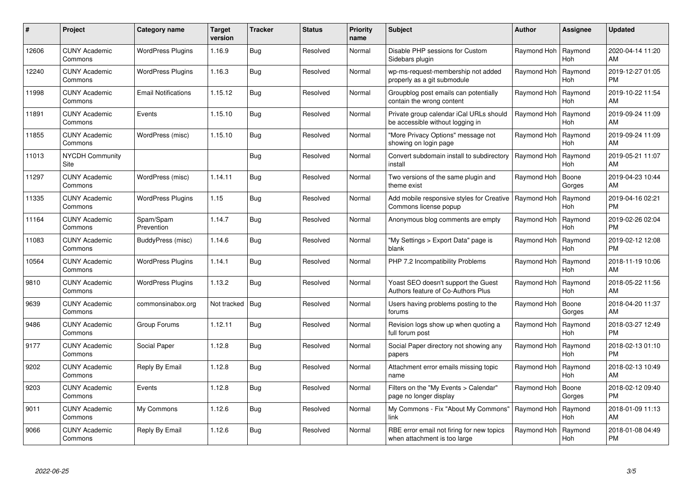| #     | Project                         | Category name              | <b>Target</b><br>version | <b>Tracker</b> | <b>Status</b> | <b>Priority</b><br>name | <b>Subject</b>                                                              | <b>Author</b> | Assignee              | <b>Updated</b>                |
|-------|---------------------------------|----------------------------|--------------------------|----------------|---------------|-------------------------|-----------------------------------------------------------------------------|---------------|-----------------------|-------------------------------|
| 12606 | <b>CUNY Academic</b><br>Commons | <b>WordPress Plugins</b>   | 1.16.9                   | <b>Bug</b>     | Resolved      | Normal                  | Disable PHP sessions for Custom<br>Sidebars plugin                          | Raymond Hoh   | Raymond<br><b>Hoh</b> | 2020-04-14 11:20<br>AM        |
| 12240 | <b>CUNY Academic</b><br>Commons | <b>WordPress Plugins</b>   | 1.16.3                   | Bug            | Resolved      | Normal                  | wp-ms-request-membership not added<br>properly as a git submodule           | Raymond Hoh   | Raymond<br>Hoh        | 2019-12-27 01:05<br><b>PM</b> |
| 11998 | <b>CUNY Academic</b><br>Commons | <b>Email Notifications</b> | 1.15.12                  | <b>Bug</b>     | Resolved      | Normal                  | Groupblog post emails can potentially<br>contain the wrong content          | Raymond Hoh   | Raymond<br><b>Hoh</b> | 2019-10-22 11:54<br>AM        |
| 11891 | <b>CUNY Academic</b><br>Commons | Events                     | 1.15.10                  | <b>Bug</b>     | Resolved      | Normal                  | Private group calendar iCal URLs should<br>be accessible without logging in | Raymond Hoh   | Raymond<br><b>Hoh</b> | 2019-09-24 11:09<br>AM        |
| 11855 | <b>CUNY Academic</b><br>Commons | WordPress (misc)           | 1.15.10                  | <b>Bug</b>     | Resolved      | Normal                  | "More Privacy Options" message not<br>showing on login page                 | Raymond Hoh   | Raymond<br><b>Hoh</b> | 2019-09-24 11:09<br>AM        |
| 11013 | NYCDH Community<br>Site         |                            |                          | <b>Bug</b>     | Resolved      | Normal                  | Convert subdomain install to subdirectory<br>install                        | Raymond Hoh   | Raymond<br><b>Hoh</b> | 2019-05-21 11:07<br>AM        |
| 11297 | <b>CUNY Academic</b><br>Commons | WordPress (misc)           | 1.14.11                  | Bug            | Resolved      | Normal                  | Two versions of the same plugin and<br>theme exist                          | Raymond Hoh   | Boone<br>Gorges       | 2019-04-23 10:44<br>AM        |
| 11335 | <b>CUNY Academic</b><br>Commons | <b>WordPress Plugins</b>   | 1.15                     | Bug            | Resolved      | Normal                  | Add mobile responsive styles for Creative<br>Commons license popup          | Raymond Hoh   | Raymond<br><b>Hoh</b> | 2019-04-16 02:21<br><b>PM</b> |
| 11164 | <b>CUNY Academic</b><br>Commons | Spam/Spam<br>Prevention    | 1.14.7                   | <b>Bug</b>     | Resolved      | Normal                  | Anonymous blog comments are empty                                           | Raymond Hoh   | Raymond<br>Hoh        | 2019-02-26 02:04<br><b>PM</b> |
| 11083 | <b>CUNY Academic</b><br>Commons | BuddyPress (misc)          | 1.14.6                   | Bug            | Resolved      | Normal                  | "My Settings > Export Data" page is<br>blank                                | Raymond Hoh   | Raymond<br><b>Hoh</b> | 2019-02-12 12:08<br><b>PM</b> |
| 10564 | <b>CUNY Academic</b><br>Commons | <b>WordPress Plugins</b>   | 1.14.1                   | Bug            | Resolved      | Normal                  | PHP 7.2 Incompatibility Problems                                            | Raymond Hoh   | Raymond<br>Hoh        | 2018-11-19 10:06<br>AM        |
| 9810  | <b>CUNY Academic</b><br>Commons | <b>WordPress Plugins</b>   | 1.13.2                   | Bug            | Resolved      | Normal                  | Yoast SEO doesn't support the Guest<br>Authors feature of Co-Authors Plus   | Raymond Hoh   | Raymond<br>Hoh        | 2018-05-22 11:56<br>AM        |
| 9639  | <b>CUNY Academic</b><br>Commons | commonsinabox.org          | Not tracked   Bug        |                | Resolved      | Normal                  | Users having problems posting to the<br>forums                              | Raymond Hoh   | Boone<br>Gorges       | 2018-04-20 11:37<br>AM        |
| 9486  | <b>CUNY Academic</b><br>Commons | Group Forums               | 1.12.11                  | Bug            | Resolved      | Normal                  | Revision logs show up when quoting a<br>full forum post                     | Raymond Hoh   | Raymond<br>Hoh        | 2018-03-27 12:49<br><b>PM</b> |
| 9177  | <b>CUNY Academic</b><br>Commons | Social Paper               | 1.12.8                   | <b>Bug</b>     | Resolved      | Normal                  | Social Paper directory not showing any<br>papers                            | Raymond Hoh   | Raymond<br>Hoh        | 2018-02-13 01:10<br><b>PM</b> |
| 9202  | <b>CUNY Academic</b><br>Commons | Reply By Email             | 1.12.8                   | <b>Bug</b>     | Resolved      | Normal                  | Attachment error emails missing topic<br>name                               | Raymond Hoh   | Raymond<br><b>Hoh</b> | 2018-02-13 10:49<br>AM        |
| 9203  | <b>CUNY Academic</b><br>Commons | Events                     | 1.12.8                   | <b>Bug</b>     | Resolved      | Normal                  | Filters on the "My Events > Calendar"<br>page no longer display             | Raymond Hoh   | Boone<br>Gorges       | 2018-02-12 09:40<br><b>PM</b> |
| 9011  | <b>CUNY Academic</b><br>Commons | My Commons                 | 1.12.6                   | <b>Bug</b>     | Resolved      | Normal                  | My Commons - Fix "About My Commons"<br>link                                 | Raymond Hoh   | Raymond<br>Hoh        | 2018-01-09 11:13<br>AM        |
| 9066  | CUNY Academic<br>Commons        | Reply By Email             | 1.12.6                   | <b>Bug</b>     | Resolved      | Normal                  | RBE error email not firing for new topics<br>when attachment is too large   | Raymond Hoh   | Raymond<br>Hoh        | 2018-01-08 04:49<br>PM        |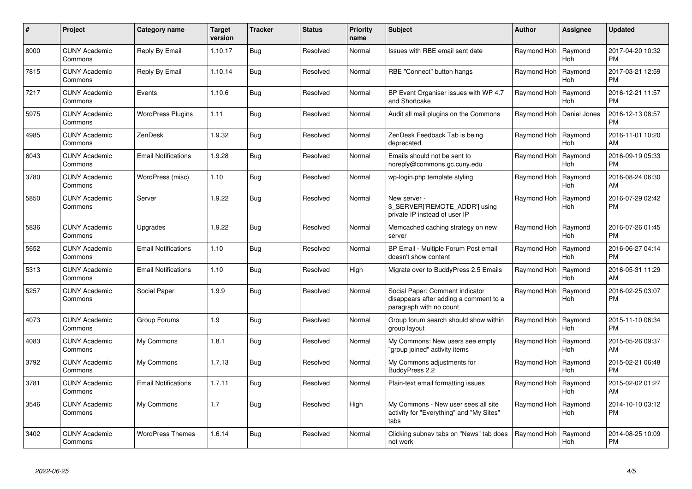| #    | Project                         | <b>Category name</b>       | <b>Target</b><br>version | <b>Tracker</b> | <b>Status</b> | <b>Priority</b><br>name | <b>Subject</b>                                                                                       | <b>Author</b> | Assignee              | <b>Updated</b>                |
|------|---------------------------------|----------------------------|--------------------------|----------------|---------------|-------------------------|------------------------------------------------------------------------------------------------------|---------------|-----------------------|-------------------------------|
| 8000 | <b>CUNY Academic</b><br>Commons | Reply By Email             | 1.10.17                  | Bug            | Resolved      | Normal                  | Issues with RBE email sent date                                                                      | Raymond Hoh   | Raymond<br>Hoh        | 2017-04-20 10:32<br><b>PM</b> |
| 7815 | <b>CUNY Academic</b><br>Commons | Reply By Email             | 1.10.14                  | <b>Bug</b>     | Resolved      | Normal                  | RBE "Connect" button hangs                                                                           | Raymond Hoh   | Raymond<br><b>Hoh</b> | 2017-03-21 12:59<br><b>PM</b> |
| 7217 | <b>CUNY Academic</b><br>Commons | Events                     | 1.10.6                   | <b>Bug</b>     | Resolved      | Normal                  | BP Event Organiser issues with WP 4.7<br>and Shortcake                                               | Raymond Hoh   | Raymond<br>Hoh        | 2016-12-21 11:57<br><b>PM</b> |
| 5975 | <b>CUNY Academic</b><br>Commons | <b>WordPress Plugins</b>   | 1.11                     | Bug            | Resolved      | Normal                  | Audit all mail plugins on the Commons                                                                | Raymond Hoh   | Daniel Jones          | 2016-12-13 08:57<br><b>PM</b> |
| 4985 | <b>CUNY Academic</b><br>Commons | ZenDesk                    | 1.9.32                   | Bug            | Resolved      | Normal                  | ZenDesk Feedback Tab is being<br>deprecated                                                          | Raymond Hoh   | Raymond<br>Hoh        | 2016-11-01 10:20<br>AM        |
| 6043 | <b>CUNY Academic</b><br>Commons | <b>Email Notifications</b> | 1.9.28                   | <b>Bug</b>     | Resolved      | Normal                  | Emails should not be sent to<br>noreply@commons.gc.cuny.edu                                          | Raymond Hoh   | Raymond<br>Hoh        | 2016-09-19 05:33<br><b>PM</b> |
| 3780 | <b>CUNY Academic</b><br>Commons | WordPress (misc)           | 1.10                     | Bug            | Resolved      | Normal                  | wp-login.php template styling                                                                        | Raymond Hoh   | Raymond<br><b>Hoh</b> | 2016-08-24 06:30<br>AM        |
| 5850 | <b>CUNY Academic</b><br>Commons | Server                     | 1.9.22                   | <b>Bug</b>     | Resolved      | Normal                  | New server -<br>\$_SERVER['REMOTE_ADDR'] using<br>private IP instead of user IP                      | Raymond Hoh   | Raymond<br>Hoh        | 2016-07-29 02:42<br><b>PM</b> |
| 5836 | <b>CUNY Academic</b><br>Commons | Upgrades                   | 1.9.22                   | <b>Bug</b>     | Resolved      | Normal                  | Memcached caching strategy on new<br>server                                                          | Raymond Hoh   | Raymond<br><b>Hoh</b> | 2016-07-26 01:45<br><b>PM</b> |
| 5652 | <b>CUNY Academic</b><br>Commons | <b>Email Notifications</b> | 1.10                     | Bug            | Resolved      | Normal                  | BP Email - Multiple Forum Post email<br>doesn't show content                                         | Raymond Hoh   | Raymond<br><b>Hoh</b> | 2016-06-27 04:14<br><b>PM</b> |
| 5313 | <b>CUNY Academic</b><br>Commons | <b>Email Notifications</b> | 1.10                     | Bug            | Resolved      | High                    | Migrate over to BuddyPress 2.5 Emails                                                                | Raymond Hoh   | Raymond<br>Hoh        | 2016-05-31 11:29<br>AM        |
| 5257 | <b>CUNY Academic</b><br>Commons | Social Paper               | 1.9.9                    | Bug            | Resolved      | Normal                  | Social Paper: Comment indicator<br>disappears after adding a comment to a<br>paragraph with no count | Raymond Hoh   | Raymond<br>Hoh        | 2016-02-25 03:07<br><b>PM</b> |
| 4073 | <b>CUNY Academic</b><br>Commons | Group Forums               | 1.9                      | <b>Bug</b>     | Resolved      | Normal                  | Group forum search should show within<br>group layout                                                | Raymond Hoh   | Raymond<br>Hoh        | 2015-11-10 06:34<br><b>PM</b> |
| 4083 | <b>CUNY Academic</b><br>Commons | My Commons                 | 1.8.1                    | <b>Bug</b>     | Resolved      | Normal                  | My Commons: New users see empty<br>'group joined" activity items                                     | Raymond Hoh   | Raymond<br>Hoh        | 2015-05-26 09:37<br>AM        |
| 3792 | <b>CUNY Academic</b><br>Commons | My Commons                 | 1.7.13                   | <b>Bug</b>     | Resolved      | Normal                  | My Commons adjustments for<br>BuddyPress 2.2                                                         | Raymond Hoh   | Raymond<br><b>Hoh</b> | 2015-02-21 06:48<br><b>PM</b> |
| 3781 | <b>CUNY Academic</b><br>Commons | <b>Email Notifications</b> | 1.7.11                   | Bug            | Resolved      | Normal                  | Plain-text email formatting issues                                                                   | Raymond Hoh   | Raymond<br><b>Hoh</b> | 2015-02-02 01:27<br>AM        |
| 3546 | <b>CUNY Academic</b><br>Commons | My Commons                 | 1.7                      | Bug            | Resolved      | High                    | My Commons - New user sees all site<br>activity for "Everything" and "My Sites"<br>tabs              | Raymond Hoh   | Raymond<br>Hoh        | 2014-10-10 03:12<br><b>PM</b> |
| 3402 | <b>CUNY Academic</b><br>Commons | <b>WordPress Themes</b>    | 1.6.14                   | Bug            | Resolved      | Normal                  | Clicking subnav tabs on "News" tab does<br>not work                                                  | Raymond Hoh   | Raymond<br>Hoh        | 2014-08-25 10:09<br><b>PM</b> |